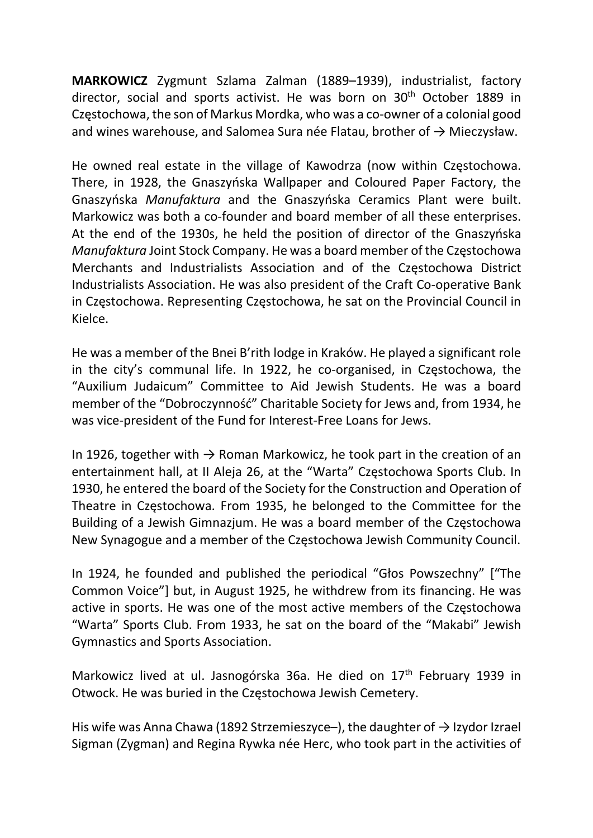MARKOWICZ Zygmunt Szlama Zalman (1889–1939), industrialist, factory director, social and sports activist. He was born on 30<sup>th</sup> October 1889 in Częstochowa, the son of Markus Mordka, who was a co-owner of a colonial good and wines warehouse, and Salomea Sura née Flatau, brother of  $\rightarrow$  Mieczysław.

He owned real estate in the village of Kawodrza (now within Częstochowa. There, in 1928, the Gnaszyńska Wallpaper and Coloured Paper Factory, the Gnaszyńska Manufaktura and the Gnaszyńska Ceramics Plant were built. Markowicz was both a co-founder and board member of all these enterprises. At the end of the 1930s, he held the position of director of the Gnaszyńska Manufaktura Joint Stock Company. He was a board member of the Częstochowa Merchants and Industrialists Association and of the Częstochowa District Industrialists Association. He was also president of the Craft Co-operative Bank in Częstochowa. Representing Częstochowa, he sat on the Provincial Council in Kielce.

He was a member of the Bnei B'rith lodge in Kraków. He played a significant role in the city's communal life. In 1922, he co-organised, in Częstochowa, the "Auxilium Judaicum" Committee to Aid Jewish Students. He was a board member of the "Dobroczynność" Charitable Society for Jews and, from 1934, he was vice-president of the Fund for Interest-Free Loans for Jews.

In 1926, together with  $\rightarrow$  Roman Markowicz, he took part in the creation of an entertainment hall, at II Aleja 26, at the "Warta" Częstochowa Sports Club. In 1930, he entered the board of the Society for the Construction and Operation of Theatre in Częstochowa. From 1935, he belonged to the Committee for the Building of a Jewish Gimnazjum. He was a board member of the Częstochowa New Synagogue and a member of the Częstochowa Jewish Community Council.

In 1924, he founded and published the periodical "Głos Powszechny" ["The Common Voice"] but, in August 1925, he withdrew from its financing. He was active in sports. He was one of the most active members of the Częstochowa "Warta" Sports Club. From 1933, he sat on the board of the "Makabi" Jewish Gymnastics and Sports Association.

Markowicz lived at ul. Jasnogórska 36a. He died on 17th February 1939 in Otwock. He was buried in the Częstochowa Jewish Cemetery.

His wife was Anna Chawa (1892 Strzemieszyce–), the daughter of  $\rightarrow$  Izydor Izrael Sigman (Zygman) and Regina Rywka née Herc, who took part in the activities of